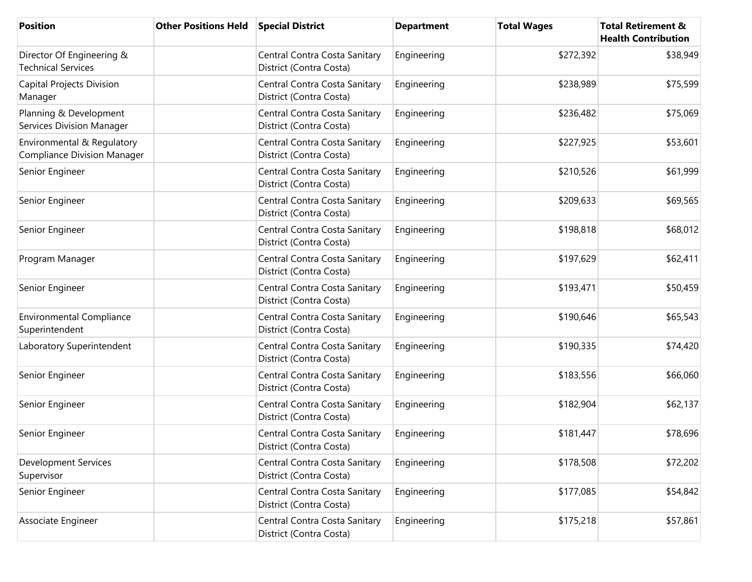| <b>Position</b>                                                  | <b>Other Positions Held</b> | <b>Special District</b>                                  | <b>Department</b> | <b>Total Wages</b> | <b>Total Retirement &amp;</b><br><b>Health Contribution</b> |
|------------------------------------------------------------------|-----------------------------|----------------------------------------------------------|-------------------|--------------------|-------------------------------------------------------------|
| Director Of Engineering &<br><b>Technical Services</b>           |                             | Central Contra Costa Sanitary<br>District (Contra Costa) | Engineering       | \$272,392          | \$38,949                                                    |
| Capital Projects Division<br>Manager                             |                             | Central Contra Costa Sanitary<br>District (Contra Costa) | Engineering       | \$238,989          | \$75,599                                                    |
| Planning & Development<br><b>Services Division Manager</b>       |                             | Central Contra Costa Sanitary<br>District (Contra Costa) | Engineering       | \$236,482          | \$75,069                                                    |
| Environmental & Regulatory<br><b>Compliance Division Manager</b> |                             | Central Contra Costa Sanitary<br>District (Contra Costa) | Engineering       | \$227,925          | \$53,601                                                    |
| Senior Engineer                                                  |                             | Central Contra Costa Sanitary<br>District (Contra Costa) | Engineering       | \$210,526          | \$61,999                                                    |
| Senior Engineer                                                  |                             | Central Contra Costa Sanitary<br>District (Contra Costa) | Engineering       | \$209,633          | \$69,565                                                    |
| Senior Engineer                                                  |                             | Central Contra Costa Sanitary<br>District (Contra Costa) | Engineering       | \$198,818          | \$68,012                                                    |
| Program Manager                                                  |                             | Central Contra Costa Sanitary<br>District (Contra Costa) | Engineering       | \$197,629          | \$62,411                                                    |
| Senior Engineer                                                  |                             | Central Contra Costa Sanitary<br>District (Contra Costa) | Engineering       | \$193,471          | \$50,459                                                    |
| <b>Environmental Compliance</b><br>Superintendent                |                             | Central Contra Costa Sanitary<br>District (Contra Costa) | Engineering       | \$190,646          | \$65,543                                                    |
| Laboratory Superintendent                                        |                             | Central Contra Costa Sanitary<br>District (Contra Costa) | Engineering       | \$190,335          | \$74,420                                                    |
| Senior Engineer                                                  |                             | Central Contra Costa Sanitary<br>District (Contra Costa) | Engineering       | \$183,556          | \$66,060                                                    |
| Senior Engineer                                                  |                             | Central Contra Costa Sanitary<br>District (Contra Costa) | Engineering       | \$182,904          | \$62,137                                                    |
| Senior Engineer                                                  |                             | Central Contra Costa Sanitary<br>District (Contra Costa) | Engineering       | \$181,447          | \$78,696                                                    |
| <b>Development Services</b><br>Supervisor                        |                             | Central Contra Costa Sanitary<br>District (Contra Costa) | Engineering       | \$178,508          | \$72,202                                                    |
| Senior Engineer                                                  |                             | Central Contra Costa Sanitary<br>District (Contra Costa) | Engineering       | \$177,085          | \$54,842                                                    |
| Associate Engineer                                               |                             | Central Contra Costa Sanitary<br>District (Contra Costa) | Engineering       | \$175,218          | \$57,861                                                    |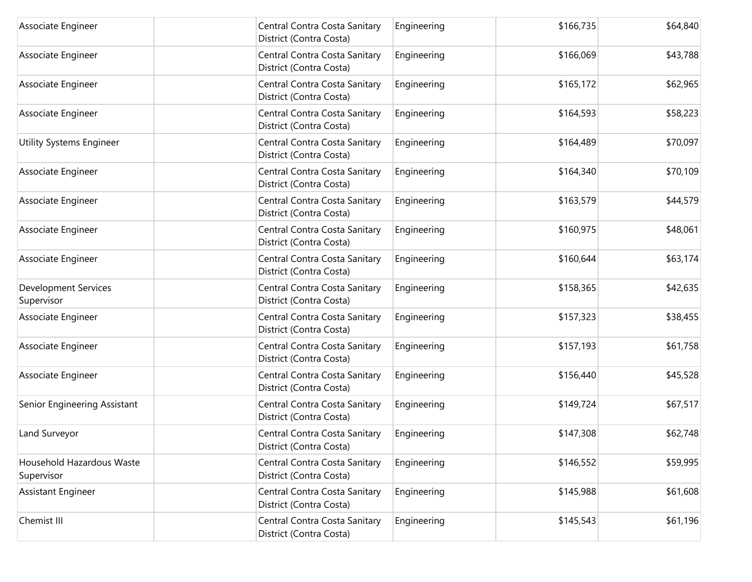| Associate Engineer                        | Central Contra Costa Sanitary<br>District (Contra Costa) | Engineering | \$166,735 | \$64,840 |
|-------------------------------------------|----------------------------------------------------------|-------------|-----------|----------|
| Associate Engineer                        | Central Contra Costa Sanitary<br>District (Contra Costa) | Engineering | \$166,069 | \$43,788 |
| Associate Engineer                        | Central Contra Costa Sanitary<br>District (Contra Costa) | Engineering | \$165,172 | \$62,965 |
| Associate Engineer                        | Central Contra Costa Sanitary<br>District (Contra Costa) | Engineering | \$164,593 | \$58,223 |
| <b>Utility Systems Engineer</b>           | Central Contra Costa Sanitary<br>District (Contra Costa) | Engineering | \$164,489 | \$70,097 |
| Associate Engineer                        | Central Contra Costa Sanitary<br>District (Contra Costa) | Engineering | \$164,340 | \$70,109 |
| Associate Engineer                        | Central Contra Costa Sanitary<br>District (Contra Costa) | Engineering | \$163,579 | \$44,579 |
| Associate Engineer                        | Central Contra Costa Sanitary<br>District (Contra Costa) | Engineering | \$160,975 | \$48,061 |
| Associate Engineer                        | Central Contra Costa Sanitary<br>District (Contra Costa) | Engineering | \$160,644 | \$63,174 |
| <b>Development Services</b><br>Supervisor | Central Contra Costa Sanitary<br>District (Contra Costa) | Engineering | \$158,365 | \$42,635 |
| Associate Engineer                        | Central Contra Costa Sanitary<br>District (Contra Costa) | Engineering | \$157,323 | \$38,455 |
| Associate Engineer                        | Central Contra Costa Sanitary<br>District (Contra Costa) | Engineering | \$157,193 | \$61,758 |
| Associate Engineer                        | Central Contra Costa Sanitary<br>District (Contra Costa) | Engineering | \$156,440 | \$45,528 |
| Senior Engineering Assistant              | Central Contra Costa Sanitary<br>District (Contra Costa) | Engineering | \$149,724 | \$67,517 |
| Land Surveyor                             | Central Contra Costa Sanitary<br>District (Contra Costa) | Engineering | \$147,308 | \$62,748 |
| Household Hazardous Waste<br>Supervisor   | Central Contra Costa Sanitary<br>District (Contra Costa) | Engineering | \$146,552 | \$59,995 |
| Assistant Engineer                        | Central Contra Costa Sanitary<br>District (Contra Costa) | Engineering | \$145,988 | \$61,608 |
| Chemist III                               | Central Contra Costa Sanitary<br>District (Contra Costa) | Engineering | \$145,543 | \$61,196 |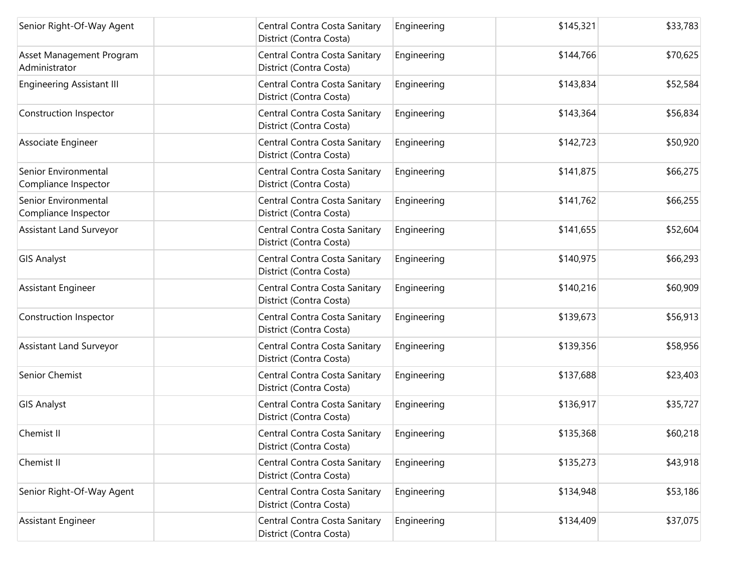| Senior Right-Of-Way Agent                    | Central Contra Costa Sanitary<br>District (Contra Costa) | Engineering | \$145,321 | \$33,783 |
|----------------------------------------------|----------------------------------------------------------|-------------|-----------|----------|
| Asset Management Program<br>Administrator    | Central Contra Costa Sanitary<br>District (Contra Costa) | Engineering | \$144,766 | \$70,625 |
| <b>Engineering Assistant III</b>             | Central Contra Costa Sanitary<br>District (Contra Costa) | Engineering | \$143,834 | \$52,584 |
| Construction Inspector                       | Central Contra Costa Sanitary<br>District (Contra Costa) | Engineering | \$143,364 | \$56,834 |
| Associate Engineer                           | Central Contra Costa Sanitary<br>District (Contra Costa) | Engineering | \$142,723 | \$50,920 |
| Senior Environmental<br>Compliance Inspector | Central Contra Costa Sanitary<br>District (Contra Costa) | Engineering | \$141,875 | \$66,275 |
| Senior Environmental<br>Compliance Inspector | Central Contra Costa Sanitary<br>District (Contra Costa) | Engineering | \$141,762 | \$66,255 |
| Assistant Land Surveyor                      | Central Contra Costa Sanitary<br>District (Contra Costa) | Engineering | \$141,655 | \$52,604 |
| <b>GIS Analyst</b>                           | Central Contra Costa Sanitary<br>District (Contra Costa) | Engineering | \$140,975 | \$66,293 |
| <b>Assistant Engineer</b>                    | Central Contra Costa Sanitary<br>District (Contra Costa) | Engineering | \$140,216 | \$60,909 |
| Construction Inspector                       | Central Contra Costa Sanitary<br>District (Contra Costa) | Engineering | \$139,673 | \$56,913 |
| <b>Assistant Land Surveyor</b>               | Central Contra Costa Sanitary<br>District (Contra Costa) | Engineering | \$139,356 | \$58,956 |
| Senior Chemist                               | Central Contra Costa Sanitary<br>District (Contra Costa) | Engineering | \$137,688 | \$23,403 |
| <b>GIS Analyst</b>                           | Central Contra Costa Sanitary<br>District (Contra Costa) | Engineering | \$136,917 | \$35,727 |
| Chemist II                                   | Central Contra Costa Sanitary<br>District (Contra Costa) | Engineering | \$135,368 | \$60,218 |
| Chemist II                                   | Central Contra Costa Sanitary<br>District (Contra Costa) | Engineering | \$135,273 | \$43,918 |
| Senior Right-Of-Way Agent                    | Central Contra Costa Sanitary<br>District (Contra Costa) | Engineering | \$134,948 | \$53,186 |
| Assistant Engineer                           | Central Contra Costa Sanitary<br>District (Contra Costa) | Engineering | \$134,409 | \$37,075 |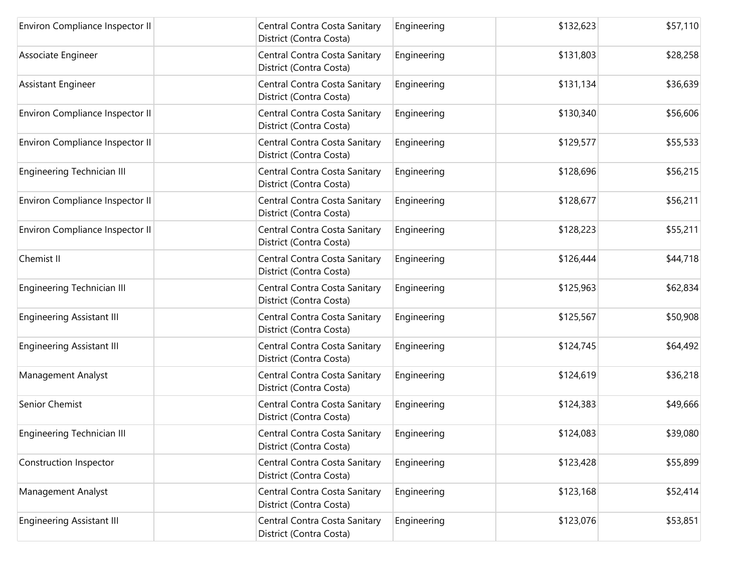| Environ Compliance Inspector II   | Central Contra Costa Sanitary<br>District (Contra Costa) | Engineering | \$132,623 | \$57,110 |
|-----------------------------------|----------------------------------------------------------|-------------|-----------|----------|
| Associate Engineer                | Central Contra Costa Sanitary<br>District (Contra Costa) | Engineering | \$131,803 | \$28,258 |
| Assistant Engineer                | Central Contra Costa Sanitary<br>District (Contra Costa) | Engineering | \$131,134 | \$36,639 |
| Environ Compliance Inspector II   | Central Contra Costa Sanitary<br>District (Contra Costa) | Engineering | \$130,340 | \$56,606 |
| Environ Compliance Inspector II   | Central Contra Costa Sanitary<br>District (Contra Costa) | Engineering | \$129,577 | \$55,533 |
| Engineering Technician III        | Central Contra Costa Sanitary<br>District (Contra Costa) | Engineering | \$128,696 | \$56,215 |
| Environ Compliance Inspector II   | Central Contra Costa Sanitary<br>District (Contra Costa) | Engineering | \$128,677 | \$56,211 |
| Environ Compliance Inspector II   | Central Contra Costa Sanitary<br>District (Contra Costa) | Engineering | \$128,223 | \$55,211 |
| Chemist II                        | Central Contra Costa Sanitary<br>District (Contra Costa) | Engineering | \$126,444 | \$44,718 |
| <b>Engineering Technician III</b> | Central Contra Costa Sanitary<br>District (Contra Costa) | Engineering | \$125,963 | \$62,834 |
| <b>Engineering Assistant III</b>  | Central Contra Costa Sanitary<br>District (Contra Costa) | Engineering | \$125,567 | \$50,908 |
| <b>Engineering Assistant III</b>  | Central Contra Costa Sanitary<br>District (Contra Costa) | Engineering | \$124,745 | \$64,492 |
| Management Analyst                | Central Contra Costa Sanitary<br>District (Contra Costa) | Engineering | \$124,619 | \$36,218 |
| Senior Chemist                    | Central Contra Costa Sanitary<br>District (Contra Costa) | Engineering | \$124,383 | \$49,666 |
| <b>Engineering Technician III</b> | Central Contra Costa Sanitary<br>District (Contra Costa) | Engineering | \$124,083 | \$39,080 |
| Construction Inspector            | Central Contra Costa Sanitary<br>District (Contra Costa) | Engineering | \$123,428 | \$55,899 |
| Management Analyst                | Central Contra Costa Sanitary<br>District (Contra Costa) | Engineering | \$123,168 | \$52,414 |
| <b>Engineering Assistant III</b>  | Central Contra Costa Sanitary<br>District (Contra Costa) | Engineering | \$123,076 | \$53,851 |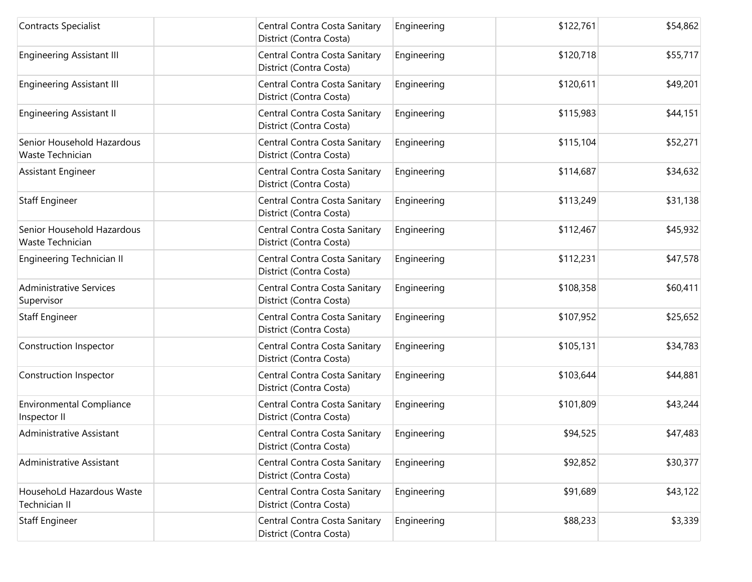| <b>Contracts Specialist</b>                     | Central Contra Costa Sanitary<br>District (Contra Costa) | Engineering | \$122,761 | \$54,862 |
|-------------------------------------------------|----------------------------------------------------------|-------------|-----------|----------|
| <b>Engineering Assistant III</b>                | Central Contra Costa Sanitary<br>District (Contra Costa) | Engineering | \$120,718 | \$55,717 |
| <b>Engineering Assistant III</b>                | Central Contra Costa Sanitary<br>District (Contra Costa) | Engineering | \$120,611 | \$49,201 |
| <b>Engineering Assistant II</b>                 | Central Contra Costa Sanitary<br>District (Contra Costa) | Engineering | \$115,983 | \$44,151 |
| Senior Household Hazardous<br>Waste Technician  | Central Contra Costa Sanitary<br>District (Contra Costa) | Engineering | \$115,104 | \$52,271 |
| Assistant Engineer                              | Central Contra Costa Sanitary<br>District (Contra Costa) | Engineering | \$114,687 | \$34,632 |
| <b>Staff Engineer</b>                           | Central Contra Costa Sanitary<br>District (Contra Costa) | Engineering | \$113,249 | \$31,138 |
| Senior Household Hazardous<br>Waste Technician  | Central Contra Costa Sanitary<br>District (Contra Costa) | Engineering | \$112,467 | \$45,932 |
| Engineering Technician II                       | Central Contra Costa Sanitary<br>District (Contra Costa) | Engineering | \$112,231 | \$47,578 |
| <b>Administrative Services</b><br>Supervisor    | Central Contra Costa Sanitary<br>District (Contra Costa) | Engineering | \$108,358 | \$60,411 |
| <b>Staff Engineer</b>                           | Central Contra Costa Sanitary<br>District (Contra Costa) | Engineering | \$107,952 | \$25,652 |
| Construction Inspector                          | Central Contra Costa Sanitary<br>District (Contra Costa) | Engineering | \$105,131 | \$34,783 |
| Construction Inspector                          | Central Contra Costa Sanitary<br>District (Contra Costa) | Engineering | \$103,644 | \$44,881 |
| <b>Environmental Compliance</b><br>Inspector II | Central Contra Costa Sanitary<br>District (Contra Costa) | Engineering | \$101,809 | \$43,244 |
| Administrative Assistant                        | Central Contra Costa Sanitary<br>District (Contra Costa) | Engineering | \$94,525  | \$47,483 |
| Administrative Assistant                        | Central Contra Costa Sanitary<br>District (Contra Costa) | Engineering | \$92,852  | \$30,377 |
| HousehoLd Hazardous Waste<br>Technician II      | Central Contra Costa Sanitary<br>District (Contra Costa) | Engineering | \$91,689  | \$43,122 |
| <b>Staff Engineer</b>                           | Central Contra Costa Sanitary<br>District (Contra Costa) | Engineering | \$88,233  | \$3,339  |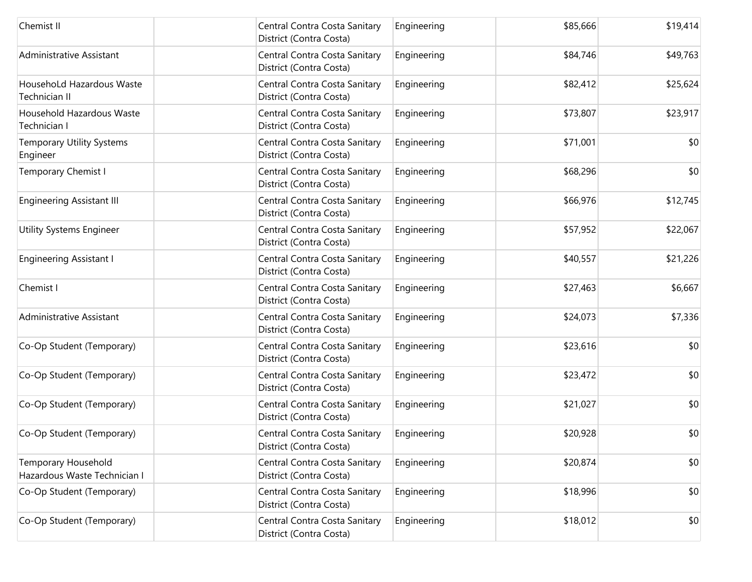| Chemist II                                                 | Central Contra Costa Sanitary<br>District (Contra Costa) | Engineering | \$85,666 | \$19,414 |
|------------------------------------------------------------|----------------------------------------------------------|-------------|----------|----------|
| Administrative Assistant                                   | Central Contra Costa Sanitary<br>District (Contra Costa) | Engineering | \$84,746 | \$49,763 |
| HousehoLd Hazardous Waste<br>Technician II                 | Central Contra Costa Sanitary<br>District (Contra Costa) | Engineering | \$82,412 | \$25,624 |
| Household Hazardous Waste<br>Technician I                  | Central Contra Costa Sanitary<br>District (Contra Costa) | Engineering | \$73,807 | \$23,917 |
| <b>Temporary Utility Systems</b><br>Engineer               | Central Contra Costa Sanitary<br>District (Contra Costa) | Engineering | \$71,001 | \$0      |
| Temporary Chemist I                                        | Central Contra Costa Sanitary<br>District (Contra Costa) | Engineering | \$68,296 | \$0      |
| <b>Engineering Assistant III</b>                           | Central Contra Costa Sanitary<br>District (Contra Costa) | Engineering | \$66,976 | \$12,745 |
| <b>Utility Systems Engineer</b>                            | Central Contra Costa Sanitary<br>District (Contra Costa) | Engineering | \$57,952 | \$22,067 |
| <b>Engineering Assistant I</b>                             | Central Contra Costa Sanitary<br>District (Contra Costa) | Engineering | \$40,557 | \$21,226 |
| Chemist I                                                  | Central Contra Costa Sanitary<br>District (Contra Costa) | Engineering | \$27,463 | \$6,667  |
| Administrative Assistant                                   | Central Contra Costa Sanitary<br>District (Contra Costa) | Engineering | \$24,073 | \$7,336  |
| Co-Op Student (Temporary)                                  | Central Contra Costa Sanitary<br>District (Contra Costa) | Engineering | \$23,616 | \$0      |
| Co-Op Student (Temporary)                                  | Central Contra Costa Sanitary<br>District (Contra Costa) | Engineering | \$23,472 | \$0      |
| Co-Op Student (Temporary)                                  | Central Contra Costa Sanitary<br>District (Contra Costa) | Engineering | \$21,027 | \$0      |
| Co-Op Student (Temporary)                                  | Central Contra Costa Sanitary<br>District (Contra Costa) | Engineering | \$20,928 | \$0      |
| <b>Temporary Household</b><br>Hazardous Waste Technician I | Central Contra Costa Sanitary<br>District (Contra Costa) | Engineering | \$20,874 | \$0      |
| Co-Op Student (Temporary)                                  | Central Contra Costa Sanitary<br>District (Contra Costa) | Engineering | \$18,996 | \$0      |
| Co-Op Student (Temporary)                                  | Central Contra Costa Sanitary<br>District (Contra Costa) | Engineering | \$18,012 | \$0      |